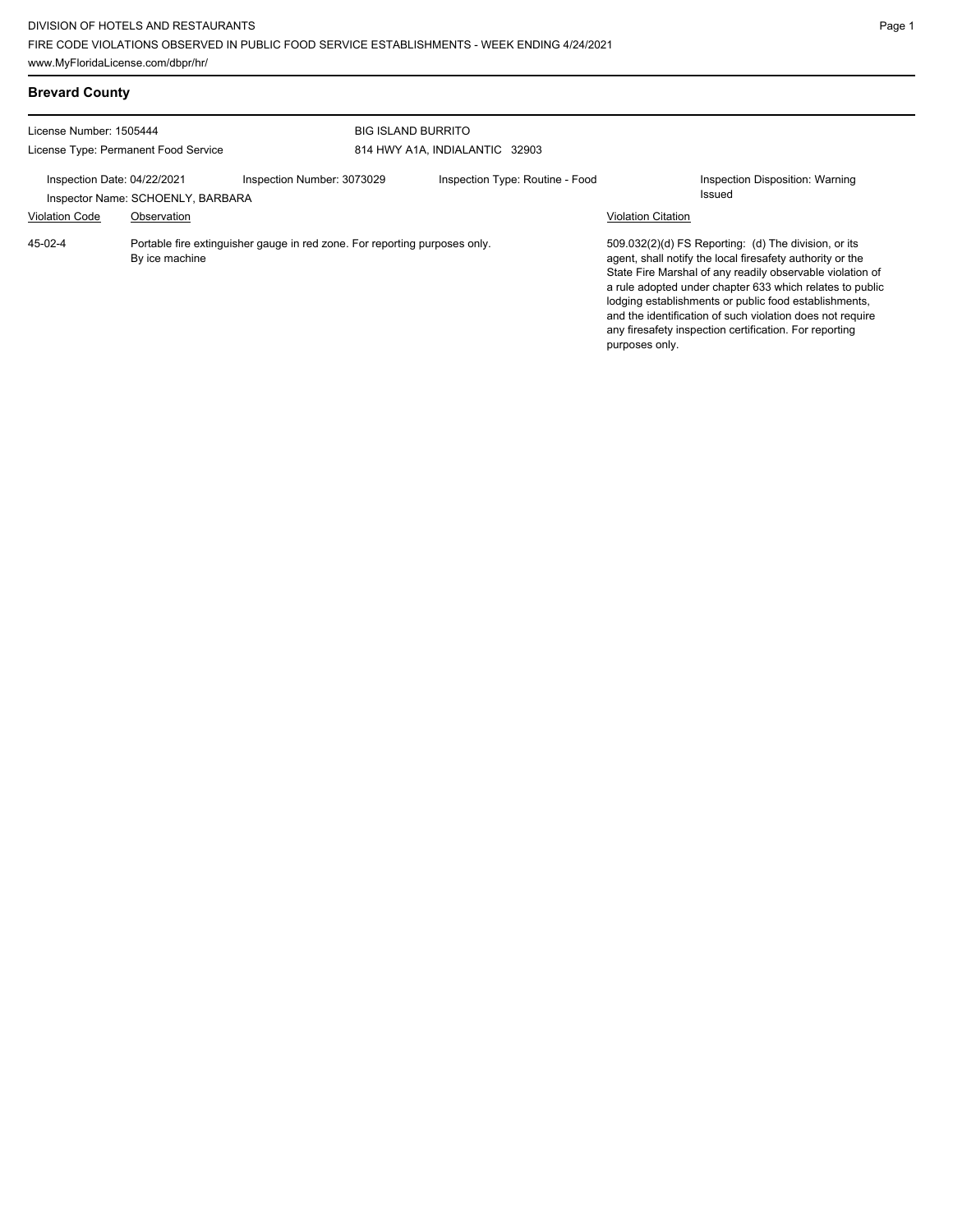| <b>Brevard County</b>                |                                   |                                                                            |                                 |                           |                                                                                                                                                                                                                                                                                                                                                                                                                            |  |
|--------------------------------------|-----------------------------------|----------------------------------------------------------------------------|---------------------------------|---------------------------|----------------------------------------------------------------------------------------------------------------------------------------------------------------------------------------------------------------------------------------------------------------------------------------------------------------------------------------------------------------------------------------------------------------------------|--|
| License Number: 1505444              |                                   |                                                                            | <b>BIG ISLAND BURRITO</b>       |                           |                                                                                                                                                                                                                                                                                                                                                                                                                            |  |
| License Type: Permanent Food Service |                                   |                                                                            | 814 HWY A1A, INDIALANTIC 32903  |                           |                                                                                                                                                                                                                                                                                                                                                                                                                            |  |
| Inspection Date: 04/22/2021          | Inspector Name: SCHOENLY, BARBARA | Inspection Number: 3073029                                                 | Inspection Type: Routine - Food |                           | Inspection Disposition: Warning<br><b>Issued</b>                                                                                                                                                                                                                                                                                                                                                                           |  |
| <b>Violation Code</b>                | Observation                       |                                                                            |                                 | <b>Violation Citation</b> |                                                                                                                                                                                                                                                                                                                                                                                                                            |  |
| 45-02-4                              | By ice machine                    | Portable fire extinguisher gauge in red zone. For reporting purposes only. |                                 | purposes only.            | 509.032(2)(d) FS Reporting: (d) The division, or its<br>agent, shall notify the local firesafety authority or the<br>State Fire Marshal of any readily observable violation of<br>a rule adopted under chapter 633 which relates to public<br>lodging establishments or public food establishments,<br>and the identification of such violation does not require<br>any firesafety inspection certification. For reporting |  |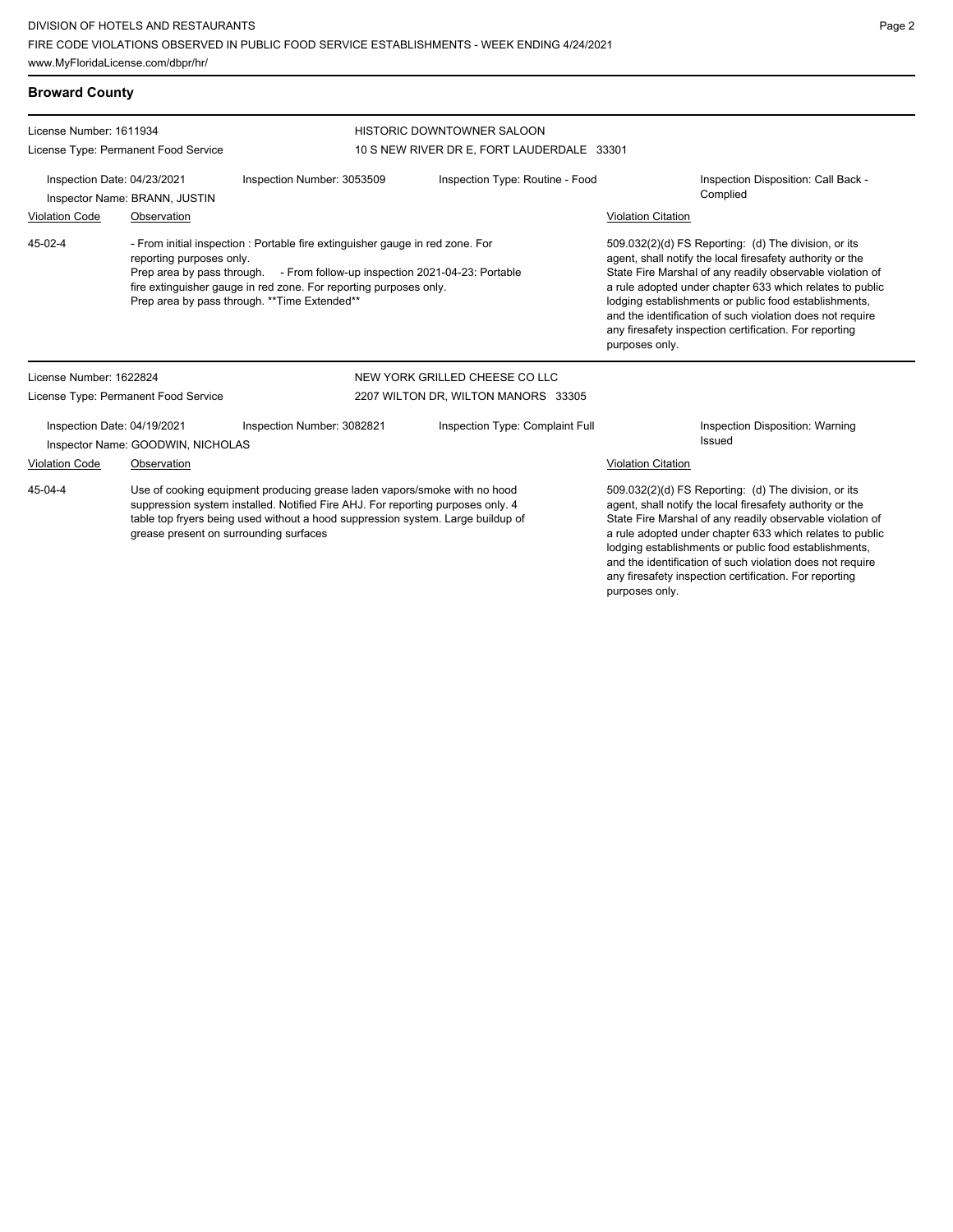| <b>Broward County</b>                                            |                                      |                                                                                                                                                                                                                                                                                           |                                            |                                                                                                                                                                                                                                                                                                                                                                                                                                              |  |  |
|------------------------------------------------------------------|--------------------------------------|-------------------------------------------------------------------------------------------------------------------------------------------------------------------------------------------------------------------------------------------------------------------------------------------|--------------------------------------------|----------------------------------------------------------------------------------------------------------------------------------------------------------------------------------------------------------------------------------------------------------------------------------------------------------------------------------------------------------------------------------------------------------------------------------------------|--|--|
| License Number: 1611934                                          |                                      |                                                                                                                                                                                                                                                                                           | <b>HISTORIC DOWNTOWNER SALOON</b>          |                                                                                                                                                                                                                                                                                                                                                                                                                                              |  |  |
|                                                                  | License Type: Permanent Food Service |                                                                                                                                                                                                                                                                                           | 10 S NEW RIVER DR E, FORT LAUDERDALE 33301 |                                                                                                                                                                                                                                                                                                                                                                                                                                              |  |  |
| Inspection Date: 04/23/2021<br>Inspector Name: BRANN, JUSTIN     |                                      | Inspection Number: 3053509                                                                                                                                                                                                                                                                | Inspection Type: Routine - Food            | Inspection Disposition: Call Back -<br>Complied                                                                                                                                                                                                                                                                                                                                                                                              |  |  |
| <b>Violation Code</b>                                            | Observation                          |                                                                                                                                                                                                                                                                                           |                                            | <b>Violation Citation</b>                                                                                                                                                                                                                                                                                                                                                                                                                    |  |  |
| 45-02-4                                                          | reporting purposes only.             | - From initial inspection : Portable fire extinguisher gauge in red zone. For<br>Prep area by pass through. - From follow-up inspection 2021-04-23: Portable<br>fire extinguisher gauge in red zone. For reporting purposes only.<br>Prep area by pass through. ** Time Extended**        |                                            | 509.032(2)(d) FS Reporting: (d) The division, or its<br>agent, shall notify the local firesafety authority or the<br>State Fire Marshal of any readily observable violation of<br>a rule adopted under chapter 633 which relates to public<br>lodging establishments or public food establishments,<br>and the identification of such violation does not require<br>any firesafety inspection certification. For reporting<br>purposes only. |  |  |
| License Number: 1622824                                          |                                      |                                                                                                                                                                                                                                                                                           | NEW YORK GRILLED CHEESE CO LLC             |                                                                                                                                                                                                                                                                                                                                                                                                                                              |  |  |
|                                                                  | License Type: Permanent Food Service |                                                                                                                                                                                                                                                                                           | 2207 WILTON DR, WILTON MANORS 33305        |                                                                                                                                                                                                                                                                                                                                                                                                                                              |  |  |
| Inspection Date: 04/19/2021<br>Inspector Name: GOODWIN, NICHOLAS |                                      | Inspection Number: 3082821                                                                                                                                                                                                                                                                | Inspection Type: Complaint Full            | Inspection Disposition: Warning<br>Issued                                                                                                                                                                                                                                                                                                                                                                                                    |  |  |
| <b>Violation Code</b><br>Observation                             |                                      |                                                                                                                                                                                                                                                                                           | <b>Violation Citation</b>                  |                                                                                                                                                                                                                                                                                                                                                                                                                                              |  |  |
| 45-04-4                                                          |                                      | Use of cooking equipment producing grease laden vapors/smoke with no hood<br>suppression system installed. Notified Fire AHJ. For reporting purposes only. 4<br>table top fryers being used without a hood suppression system. Large buildup of<br>grease present on surrounding surfaces |                                            | 509.032(2)(d) FS Reporting: (d) The division, or its<br>agent, shall notify the local firesafety authority or the<br>State Fire Marshal of any readily observable violation of<br>a rule adopted under chapter 633 which relates to public<br>lodging establishments or public food establishments,<br>and the identification of such violation does not require<br>any firesafety inspection certification. For reporting                   |  |  |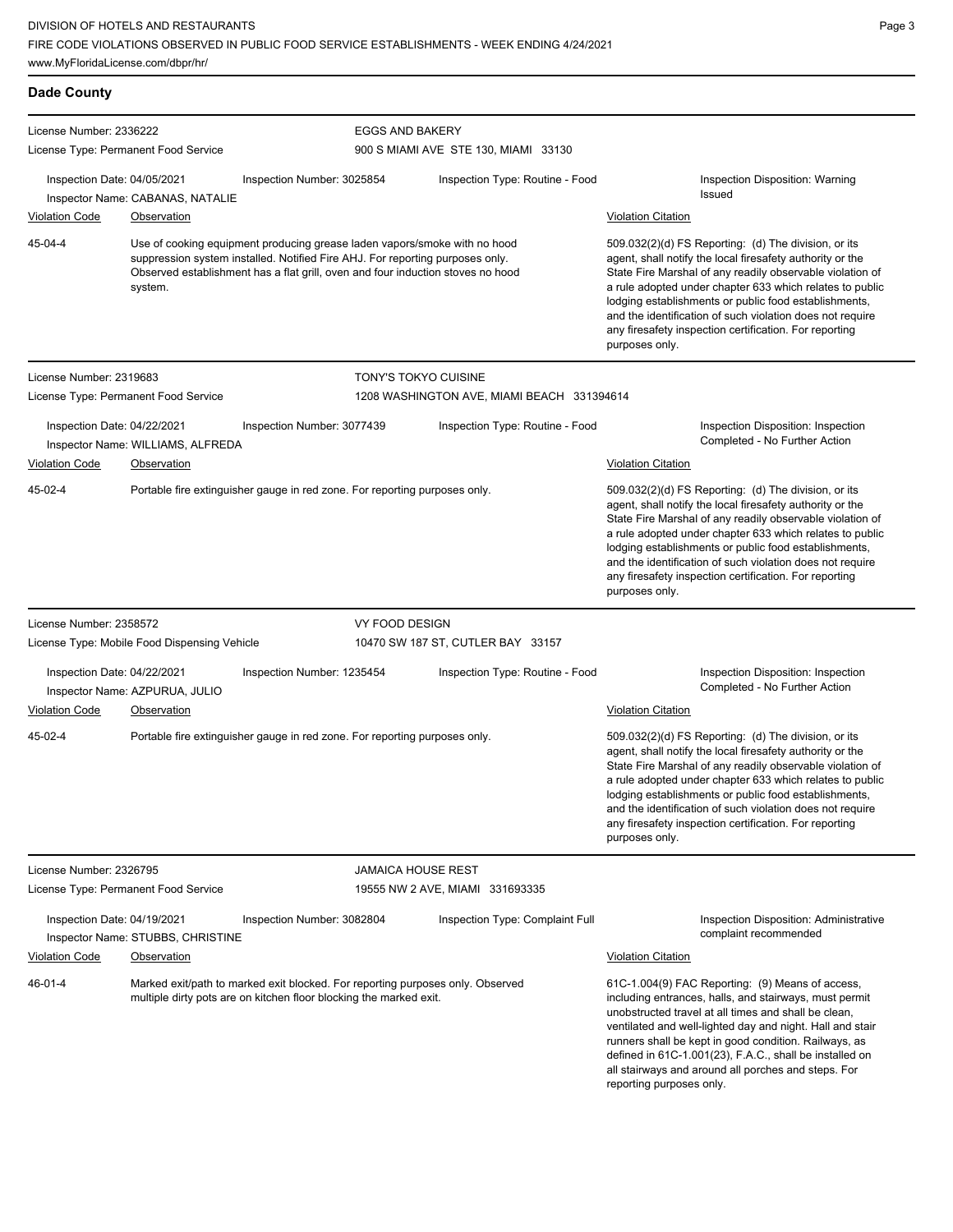**Dade County** License Number: 2336222 License Type: Permanent Food Service EGGS AND BAKERY 900 S MIAMI AVE STE 130, MIAMI 33130 Inspection Date: 04/05/2021 Inspection Number: 3025854 Inspection Type: Routine - Food Inspection Disposition: Warning Issued Inspector Name: CABANAS, NATALIE **Violation Code Observation Construction** Construction Construction Citation Citation Citation Citation Citation Use of cooking equipment producing grease laden vapors/smoke with no hood suppression system installed. Notified Fire AHJ. For reporting purposes only. Observed establishment has a flat grill, oven and four induction stoves no hood system. 509.032(2)(d) FS Reporting: (d) The division, or its agent, shall notify the local firesafety authority or the State Fire Marshal of any readily observable violation of a rule adopted under chapter 633 which relates to public lodging establishments or public food establishments, and the identification of such violation does not require any firesafety inspection certification. For reporting purposes only. 45-04-4 License Number: 2319683 License Type: Permanent Food Service TONY'S TOKYO CUISINE 1208 WASHINGTON AVE, MIAMI BEACH 331394614 Inspection Date: 04/22/2021 Inspection Number: 3077439 Inspection Type: Routine - Food Inspection Disposition: Inspection Inspector Name: WILLIAMS, ALFREDA **Inspector Name: WILLIAMS, ALFREDA** Violation Code Observation Violation Citation Portable fire extinguisher gauge in red zone. For reporting purposes only. The state of the state of the division, or its agent, shall notify the local firesafety authority or the State Fire Marshal of any readily observable violation of a rule adopted under chapter 633 which relates to public lodging establishments or public food establishments, and the identification of such violation does not require any firesafety inspection certification. For reporting purposes only. 45-02-4 License Number: 2358572 License Type: Mobile Food Dispensing Vehicle VY FOOD DESIGN 10470 SW 187 ST, CUTLER BAY 33157 Inspection Date: 04/22/2021 Inspection Number: 1235454 Inspection Type: Routine - Food Inspection Disposition: Inspection Inspector Name: AZPURUA, JULIO Violation Code Observation Violation Citation Portable fire extinguisher gauge in red zone. For reporting purposes only. The state of the state of the division, or its agent, shall notify the local firesafety authority or the State Fire Marshal of any readily observable violation of a rule adopted under chapter 633 which relates to public lodging establishments or public food establishments, and the identification of such violation does not require any firesafety inspection certification. For reporting purposes only. 45-02-4 License Number: 2326795 License Type: Permanent Food Service JAMAICA HOUSE REST 19555 NW 2 AVE, MIAMI 331693335 Inspection Date: 04/19/2021 Inspection Number: 3082804 Inspection Type: Complaint Full Inspection Disposition: Administrative Inspector Name: STUBBS, CHRISTINE **Inspector Name: STUBBS, CHRISTINE** Violation Code Observation Violation Citation Marked exit/path to marked exit blocked. For reporting purposes only. Observed multiple dirty pots are on kitchen floor blocking the marked exit. 61C-1.004(9) FAC Reporting: (9) Means of access, including entrances, halls, and stairways, must permit 46-01-4

unobstructed travel at all times and shall be clean, ventilated and well-lighted day and night. Hall and stair runners shall be kept in good condition. Railways, as defined in 61C-1.001(23), F.A.C., shall be installed on all stairways and around all porches and steps. For reporting purposes only.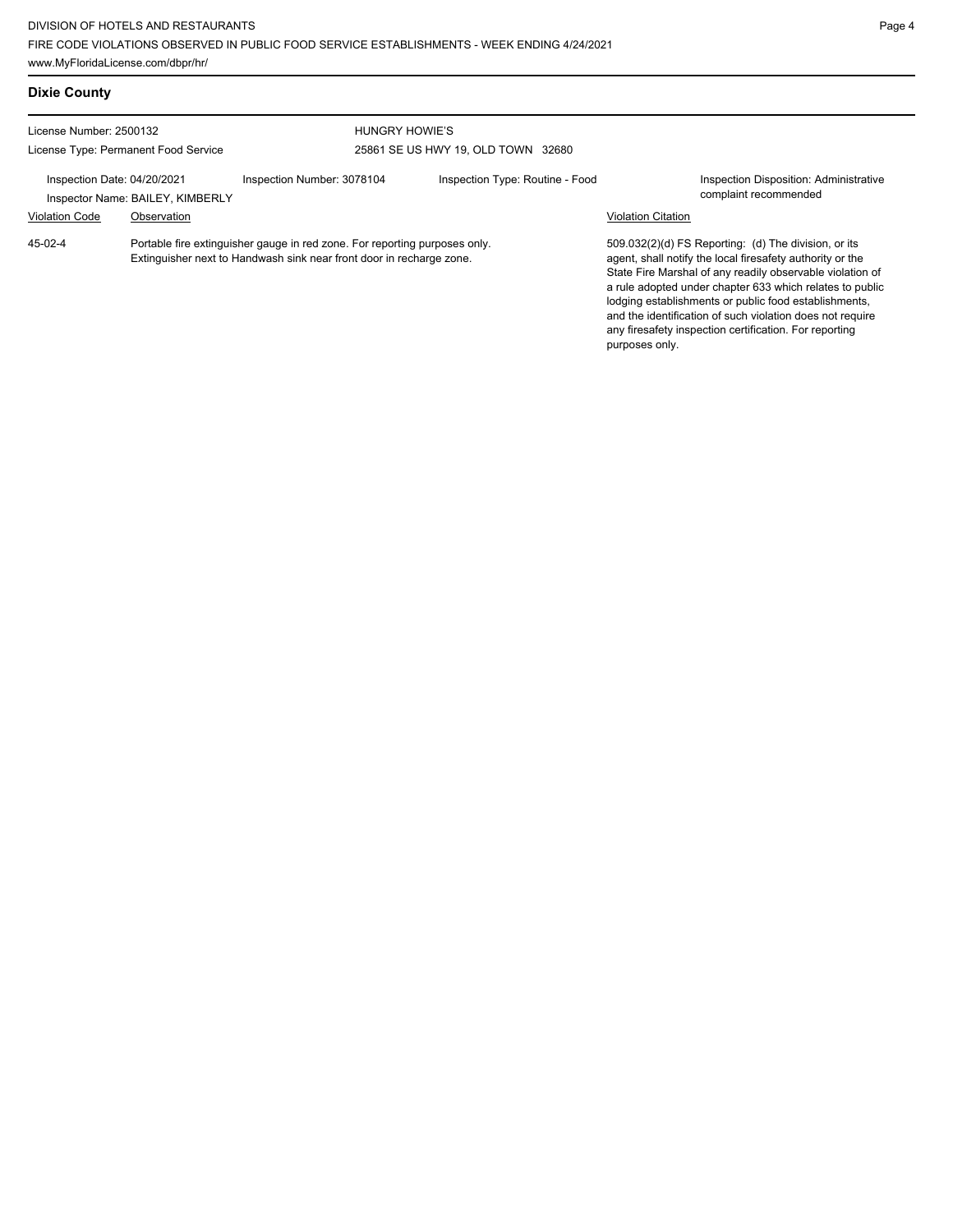**Dixie County** License Number: 2500132 License Type: Permanent Food Service HUNGRY HOWIE'S 25861 SE US HWY 19, OLD TOWN 32680 Inspection Date: 04/20/2021 Inspection Number: 3078104 Inspection Type: Routine - Food Inspection Disposition: Administrative Inspector Name: BAILEY, KIMBERLY **Inspector Name: BAILEY, KIMBERLY** Violation Code Observation Violation Citation Portable fire extinguisher gauge in red zone. For reporting purposes only. Extinguisher next to Handwash sink near front door in recharge zone. 509.032(2)(d) FS Reporting: (d) The division, or its agent, shall notify the local firesafety authority or the State Fire Marshal of any readily observable violation of a rule adopted under chapter 633 which relates to public lodging establishments or public food establishments, and the identification of such violation does not require any firesafety inspection certification. For reporting 45-02-4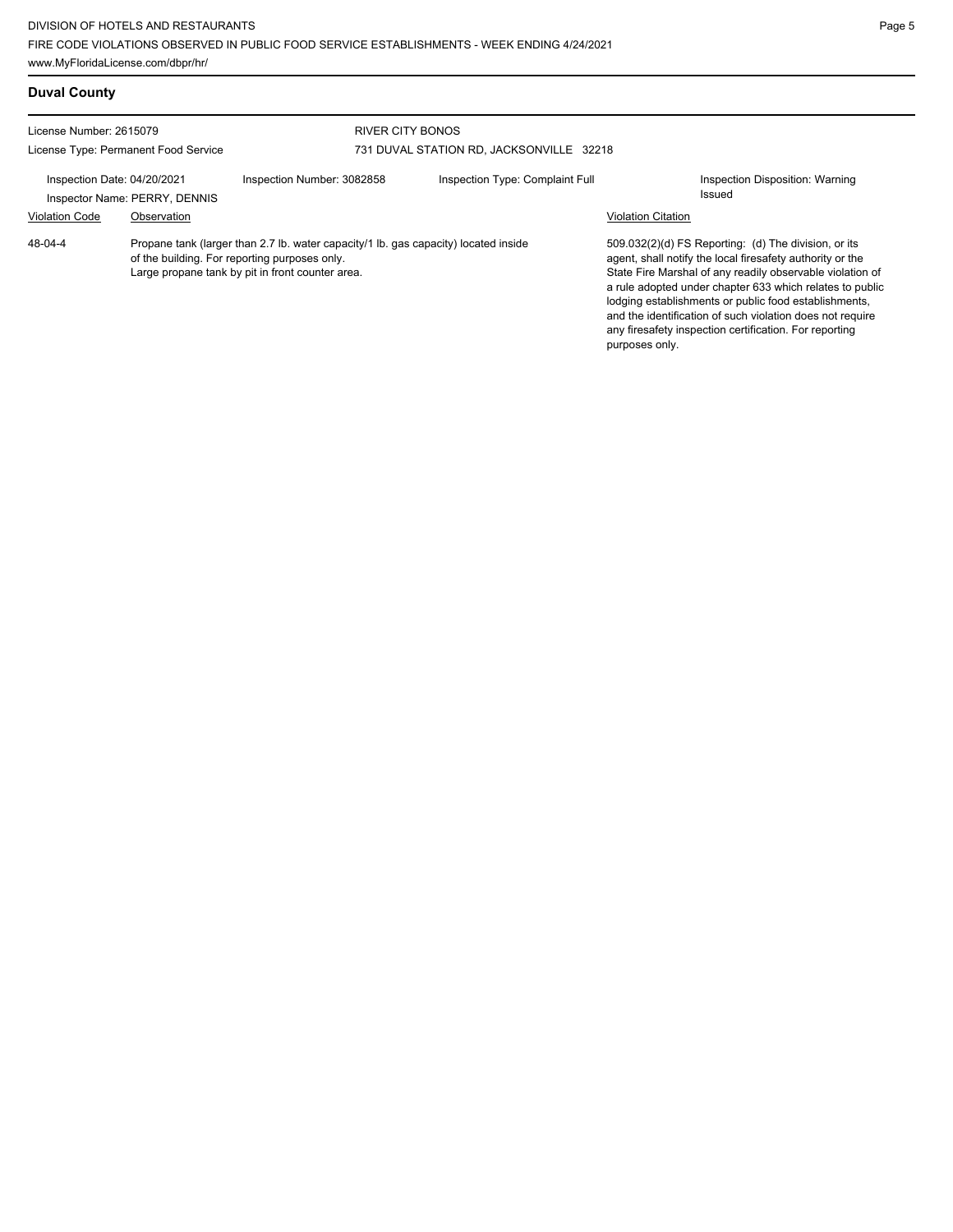| <b>Duval County</b>                                             |                                              |                                                                                                                                                                                          |                                          |                           |                                                                                                                                                                                                                                                                                                                                                                                                                              |
|-----------------------------------------------------------------|----------------------------------------------|------------------------------------------------------------------------------------------------------------------------------------------------------------------------------------------|------------------------------------------|---------------------------|------------------------------------------------------------------------------------------------------------------------------------------------------------------------------------------------------------------------------------------------------------------------------------------------------------------------------------------------------------------------------------------------------------------------------|
| License Number: 2615079<br>License Type: Permanent Food Service |                                              | RIVER CITY BONOS                                                                                                                                                                         | 731 DUVAL STATION RD. JACKSONVILLE 32218 |                           |                                                                                                                                                                                                                                                                                                                                                                                                                              |
| Inspection Date: 04/20/2021<br><b>Violation Code</b>            | Inspector Name: PERRY, DENNIS<br>Observation | Inspection Number: 3082858                                                                                                                                                               | Inspection Type: Complaint Full          | <b>Violation Citation</b> | Inspection Disposition: Warning<br>Issued                                                                                                                                                                                                                                                                                                                                                                                    |
| 48-04-4                                                         |                                              | Propane tank (larger than 2.7 lb. water capacity/1 lb. gas capacity) located inside<br>of the building. For reporting purposes only.<br>Large propane tank by pit in front counter area. |                                          | purposes only.            | $509.032(2)(d)$ FS Reporting: (d) The division, or its<br>agent, shall notify the local firesafety authority or the<br>State Fire Marshal of any readily observable violation of<br>a rule adopted under chapter 633 which relates to public<br>lodging establishments or public food establishments,<br>and the identification of such violation does not require<br>any firesafety inspection certification. For reporting |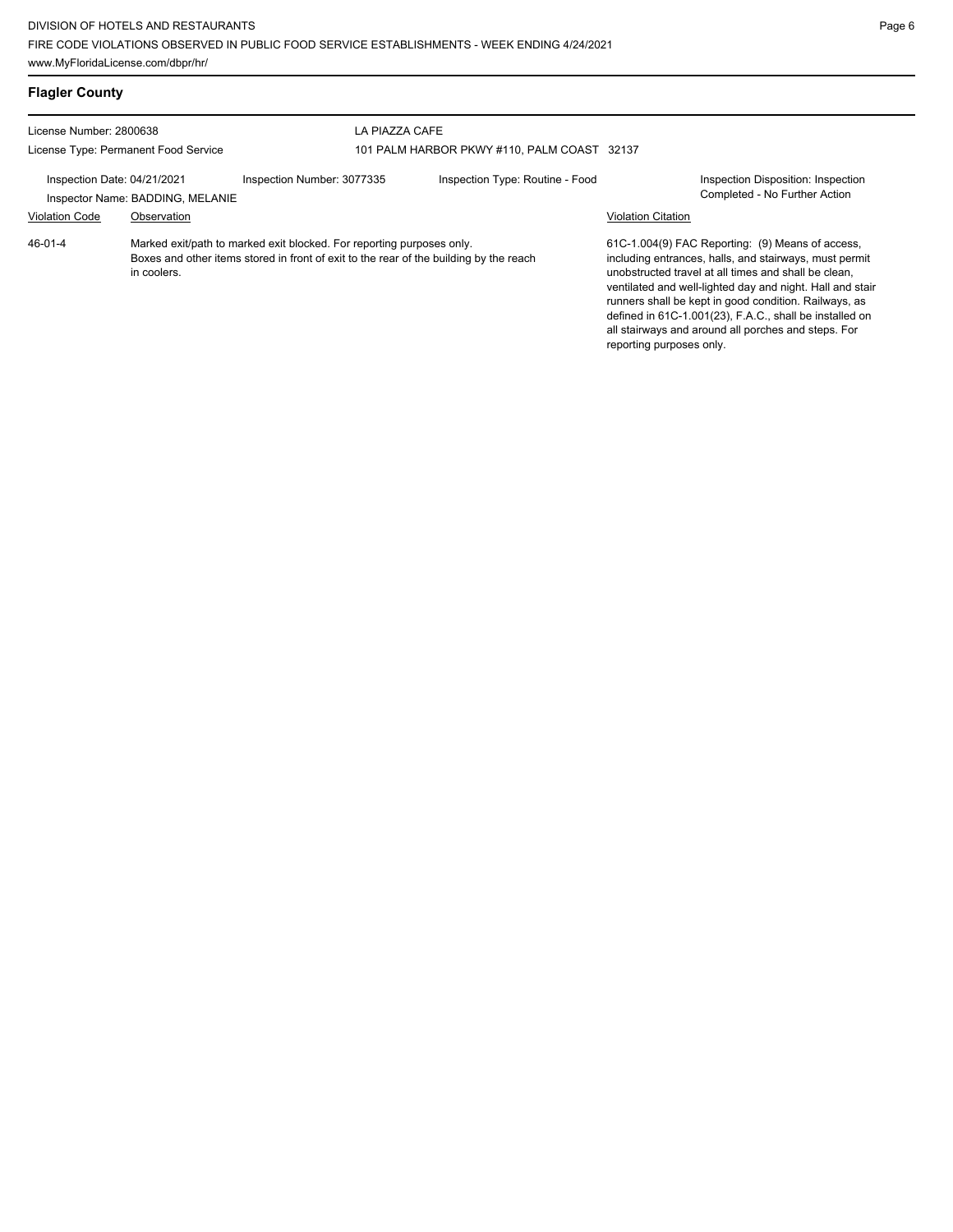Violation Code Observation Violation Citation

| <b>Flagler County</b>                |                            |                                             |                                    |  |  |  |
|--------------------------------------|----------------------------|---------------------------------------------|------------------------------------|--|--|--|
| License Number: 2800638              |                            | LA PIAZZA CAFE                              |                                    |  |  |  |
| License Type: Permanent Food Service |                            | 101 PALM HARBOR PKWY #110, PALM COAST 32137 |                                    |  |  |  |
| Inspection Date: 04/21/2021          | Inspection Number: 3077335 | Inspection Type: Routine - Food             | Inspection Disposition: Inspection |  |  |  |

Inspector Name: BADDING, MELANIE Completed - No Further Action

Marked exit/path to marked exit blocked. For reporting purposes only. Boxes and other items stored in front of exit to the rear of the building by the reach in coolers. 46-01-4

61C-1.004(9) FAC Reporting: (9) Means of access, including entrances, halls, and stairways, must permit unobstructed travel at all times and shall be clean, ventilated and well-lighted day and night. Hall and stair runners shall be kept in good condition. Railways, as defined in 61C-1.001(23), F.A.C., shall be installed on all stairways and around all porches and steps. For reporting purposes only.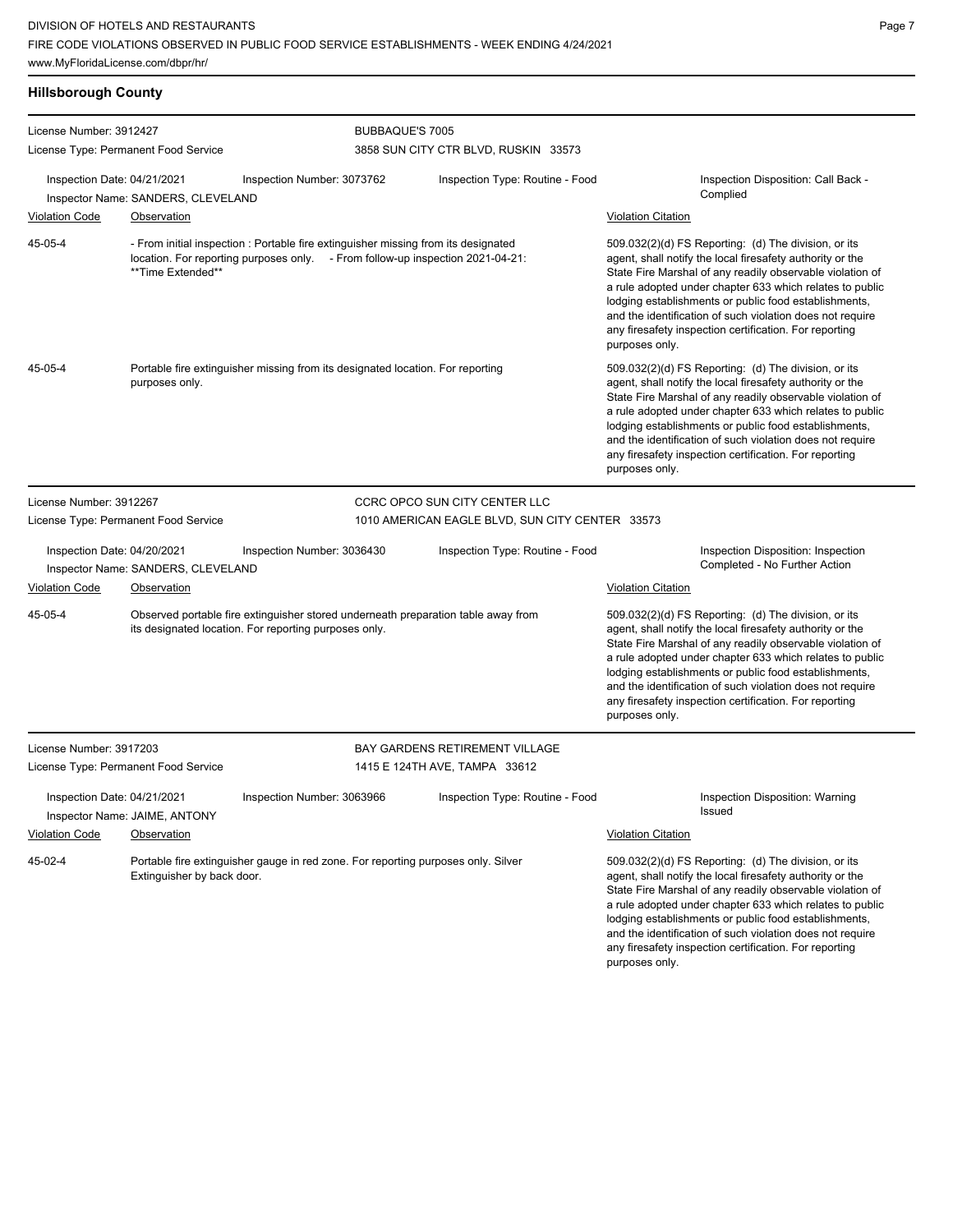**Hillsborough County**

| License Number: 3912427                                                                                                                                                                              |                                                                                                                                            |                                                                                   | <b>BUBBAQUE'S 7005</b>                          |                                                                                                                                                                                                                                                                                                                                                                                                                                              |  |  |
|------------------------------------------------------------------------------------------------------------------------------------------------------------------------------------------------------|--------------------------------------------------------------------------------------------------------------------------------------------|-----------------------------------------------------------------------------------|-------------------------------------------------|----------------------------------------------------------------------------------------------------------------------------------------------------------------------------------------------------------------------------------------------------------------------------------------------------------------------------------------------------------------------------------------------------------------------------------------------|--|--|
| License Type: Permanent Food Service                                                                                                                                                                 |                                                                                                                                            |                                                                                   | 3858 SUN CITY CTR BLVD, RUSKIN 33573            |                                                                                                                                                                                                                                                                                                                                                                                                                                              |  |  |
| Inspection Date: 04/21/2021                                                                                                                                                                          | Inspector Name: SANDERS, CLEVELAND                                                                                                         | Inspection Number: 3073762                                                        | Inspection Type: Routine - Food                 | Inspection Disposition: Call Back -<br>Complied                                                                                                                                                                                                                                                                                                                                                                                              |  |  |
| <b>Violation Code</b>                                                                                                                                                                                | Observation                                                                                                                                |                                                                                   |                                                 | <b>Violation Citation</b>                                                                                                                                                                                                                                                                                                                                                                                                                    |  |  |
| 45-05-4<br>- From initial inspection : Portable fire extinguisher missing from its designated<br>location. For reporting purposes only. - From follow-up inspection 2021-04-21:<br>**Time Extended** |                                                                                                                                            |                                                                                   |                                                 | 509.032(2)(d) FS Reporting: (d) The division, or its<br>agent, shall notify the local firesafety authority or the<br>State Fire Marshal of any readily observable violation of<br>a rule adopted under chapter 633 which relates to public<br>lodging establishments or public food establishments,<br>and the identification of such violation does not require<br>any firesafety inspection certification. For reporting<br>purposes only. |  |  |
| 45-05-4                                                                                                                                                                                              | purposes only.                                                                                                                             | Portable fire extinguisher missing from its designated location. For reporting    |                                                 | 509.032(2)(d) FS Reporting: (d) The division, or its<br>agent, shall notify the local firesafety authority or the<br>State Fire Marshal of any readily observable violation of<br>a rule adopted under chapter 633 which relates to public<br>lodging establishments or public food establishments,<br>and the identification of such violation does not require<br>any firesafety inspection certification. For reporting<br>purposes only. |  |  |
| License Number: 3912267                                                                                                                                                                              |                                                                                                                                            |                                                                                   | CCRC OPCO SUN CITY CENTER LLC                   |                                                                                                                                                                                                                                                                                                                                                                                                                                              |  |  |
| License Type: Permanent Food Service                                                                                                                                                                 |                                                                                                                                            |                                                                                   | 1010 AMERICAN EAGLE BLVD, SUN CITY CENTER 33573 |                                                                                                                                                                                                                                                                                                                                                                                                                                              |  |  |
| Inspection Date: 04/20/2021                                                                                                                                                                          | Inspector Name: SANDERS, CLEVELAND                                                                                                         | Inspection Number: 3036430                                                        | Inspection Type: Routine - Food                 | Inspection Disposition: Inspection<br>Completed - No Further Action                                                                                                                                                                                                                                                                                                                                                                          |  |  |
| <b>Violation Code</b>                                                                                                                                                                                | Observation                                                                                                                                |                                                                                   |                                                 | <b>Violation Citation</b>                                                                                                                                                                                                                                                                                                                                                                                                                    |  |  |
| 45-05-4                                                                                                                                                                                              | Observed portable fire extinguisher stored underneath preparation table away from<br>its designated location. For reporting purposes only. |                                                                                   |                                                 | 509.032(2)(d) FS Reporting: (d) The division, or its<br>agent, shall notify the local firesafety authority or the<br>State Fire Marshal of any readily observable violation of<br>a rule adopted under chapter 633 which relates to public<br>lodging establishments or public food establishments,<br>and the identification of such violation does not require<br>any firesafety inspection certification. For reporting<br>purposes only. |  |  |
| License Number: 3917203                                                                                                                                                                              |                                                                                                                                            |                                                                                   | BAY GARDENS RETIREMENT VILLAGE                  |                                                                                                                                                                                                                                                                                                                                                                                                                                              |  |  |
| License Type: Permanent Food Service                                                                                                                                                                 |                                                                                                                                            |                                                                                   | 1415 E 124TH AVE, TAMPA 33612                   |                                                                                                                                                                                                                                                                                                                                                                                                                                              |  |  |
| Inspection Date: 04/21/2021<br>Inspector Name: JAIME, ANTONY                                                                                                                                         |                                                                                                                                            | Inspection Number: 3063966                                                        | Inspection Type: Routine - Food                 | Inspection Disposition: Warning<br>Issued                                                                                                                                                                                                                                                                                                                                                                                                    |  |  |
| <b>Violation Code</b>                                                                                                                                                                                | Observation                                                                                                                                |                                                                                   |                                                 | <b>Violation Citation</b>                                                                                                                                                                                                                                                                                                                                                                                                                    |  |  |
| 45-02-4                                                                                                                                                                                              | Extinguisher by back door.                                                                                                                 | Portable fire extinguisher gauge in red zone. For reporting purposes only. Silver |                                                 | 509.032(2)(d) FS Reporting: (d) The division, or its<br>agent, shall notify the local firesafety authority or the<br>State Fire Marshal of any readily observable violation of<br>a rule adopted under chapter 633 which relates to public<br>lodging establishments or public food establishments,<br>and the identification of such violation does not require<br>any firesafety inspection certification. For reporting                   |  |  |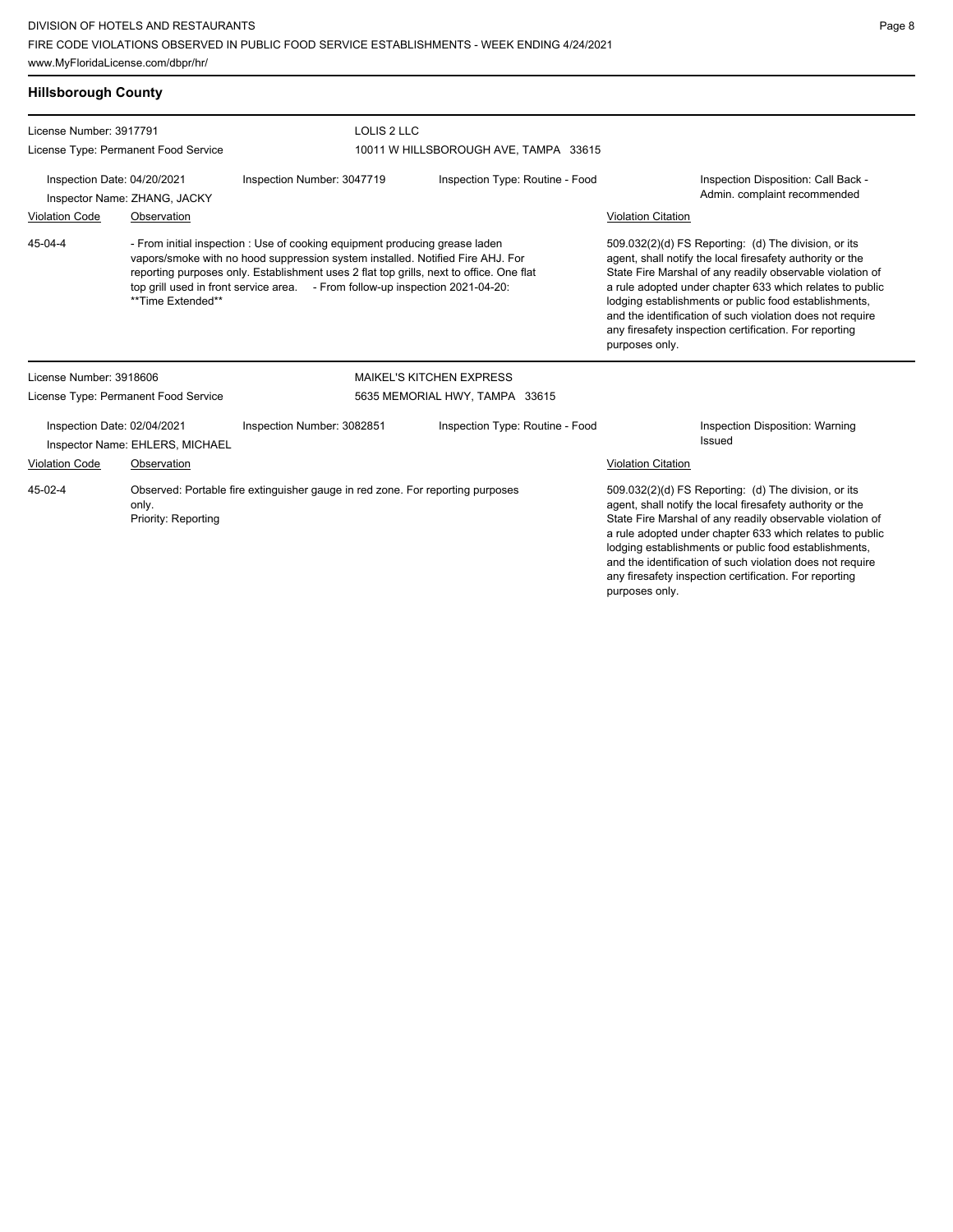| <b>Hillsborough County</b> |  |
|----------------------------|--|
|----------------------------|--|

| License Number: 3917791                                                                                                   |                                      | LOLIS 2 LLC                                                                                                                                                                                                                                                                                                                               |                                                                                                                                                                                                                                                                                                                                                                                                                                              |                                                                                                                                                                                                                                                                                                                                                                                                                            |                                                  |
|---------------------------------------------------------------------------------------------------------------------------|--------------------------------------|-------------------------------------------------------------------------------------------------------------------------------------------------------------------------------------------------------------------------------------------------------------------------------------------------------------------------------------------|----------------------------------------------------------------------------------------------------------------------------------------------------------------------------------------------------------------------------------------------------------------------------------------------------------------------------------------------------------------------------------------------------------------------------------------------|----------------------------------------------------------------------------------------------------------------------------------------------------------------------------------------------------------------------------------------------------------------------------------------------------------------------------------------------------------------------------------------------------------------------------|--------------------------------------------------|
|                                                                                                                           | License Type: Permanent Food Service |                                                                                                                                                                                                                                                                                                                                           | 10011 W HILLSBOROUGH AVE, TAMPA 33615                                                                                                                                                                                                                                                                                                                                                                                                        |                                                                                                                                                                                                                                                                                                                                                                                                                            |                                                  |
| Inspection Date: 04/20/2021<br>Inspector Name: ZHANG, JACKY                                                               |                                      | Inspection Number: 3047719<br>Inspection Type: Routine - Food                                                                                                                                                                                                                                                                             |                                                                                                                                                                                                                                                                                                                                                                                                                                              | Inspection Disposition: Call Back -<br>Admin. complaint recommended                                                                                                                                                                                                                                                                                                                                                        |                                                  |
| <b>Violation Code</b>                                                                                                     | Observation                          |                                                                                                                                                                                                                                                                                                                                           |                                                                                                                                                                                                                                                                                                                                                                                                                                              |                                                                                                                                                                                                                                                                                                                                                                                                                            | <b>Violation Citation</b>                        |
| 45-04-4                                                                                                                   | **Time Extended**                    | - From initial inspection : Use of cooking equipment producing grease laden<br>vapors/smoke with no hood suppression system installed. Notified Fire AHJ. For<br>reporting purposes only. Establishment uses 2 flat top grills, next to office. One flat<br>top grill used in front service area. - From follow-up inspection 2021-04-20: | 509.032(2)(d) FS Reporting: (d) The division, or its<br>agent, shall notify the local firesafety authority or the<br>State Fire Marshal of any readily observable violation of<br>a rule adopted under chapter 633 which relates to public<br>lodging establishments or public food establishments,<br>and the identification of such violation does not require<br>any firesafety inspection certification. For reporting<br>purposes only. |                                                                                                                                                                                                                                                                                                                                                                                                                            |                                                  |
| License Number: 3918606                                                                                                   |                                      |                                                                                                                                                                                                                                                                                                                                           | <b>MAIKEL'S KITCHEN EXPRESS</b>                                                                                                                                                                                                                                                                                                                                                                                                              |                                                                                                                                                                                                                                                                                                                                                                                                                            |                                                  |
|                                                                                                                           | License Type: Permanent Food Service |                                                                                                                                                                                                                                                                                                                                           | 5635 MEMORIAL HWY, TAMPA 33615                                                                                                                                                                                                                                                                                                                                                                                                               |                                                                                                                                                                                                                                                                                                                                                                                                                            |                                                  |
| Inspection Date: 02/04/2021                                                                                               | Inspector Name: EHLERS, MICHAEL      | Inspection Number: 3082851                                                                                                                                                                                                                                                                                                                | Inspection Type: Routine - Food                                                                                                                                                                                                                                                                                                                                                                                                              |                                                                                                                                                                                                                                                                                                                                                                                                                            | Inspection Disposition: Warning<br><b>Issued</b> |
| <b>Violation Code</b>                                                                                                     | Observation                          |                                                                                                                                                                                                                                                                                                                                           |                                                                                                                                                                                                                                                                                                                                                                                                                                              |                                                                                                                                                                                                                                                                                                                                                                                                                            | <b>Violation Citation</b>                        |
| 45-02-4<br>Observed: Portable fire extinguisher gauge in red zone. For reporting purposes<br>only.<br>Priority: Reporting |                                      |                                                                                                                                                                                                                                                                                                                                           |                                                                                                                                                                                                                                                                                                                                                                                                                                              | 509.032(2)(d) FS Reporting: (d) The division, or its<br>agent, shall notify the local firesafety authority or the<br>State Fire Marshal of any readily observable violation of<br>a rule adopted under chapter 633 which relates to public<br>lodging establishments or public food establishments,<br>and the identification of such violation does not require<br>any firesafety inspection certification. For reporting |                                                  |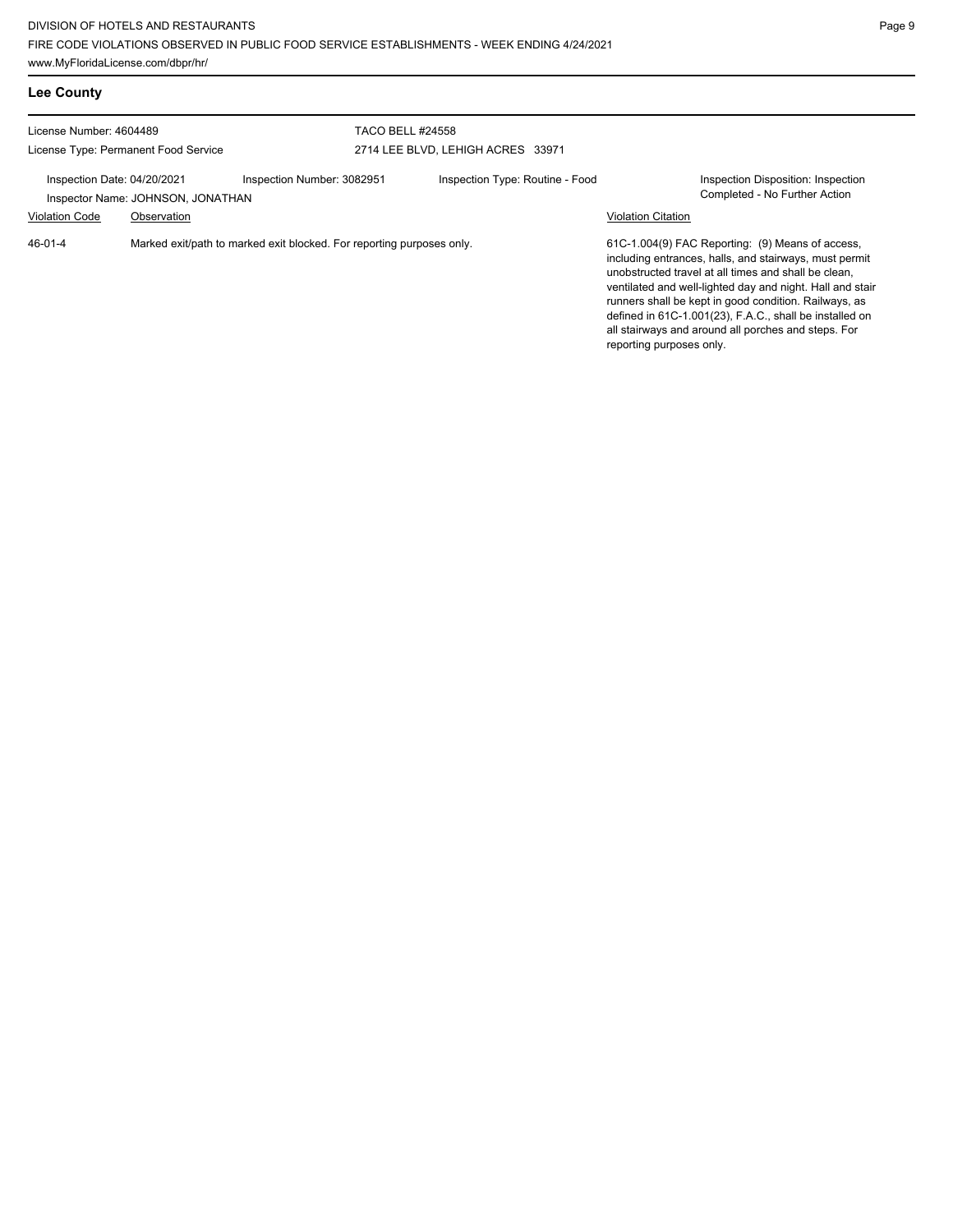| <b>Lee County</b>                                               |                                                  |                                                                       |                                                              |                                                                                                                                                                                                                                                                                                                                                                                                            |                                                                     |
|-----------------------------------------------------------------|--------------------------------------------------|-----------------------------------------------------------------------|--------------------------------------------------------------|------------------------------------------------------------------------------------------------------------------------------------------------------------------------------------------------------------------------------------------------------------------------------------------------------------------------------------------------------------------------------------------------------------|---------------------------------------------------------------------|
| License Number: 4604489<br>License Type: Permanent Food Service |                                                  |                                                                       | <b>TACO BELL #24558</b><br>2714 LEE BLVD. LEHIGH ACRES 33971 |                                                                                                                                                                                                                                                                                                                                                                                                            |                                                                     |
| Inspection Date: 04/20/2021<br><b>Violation Code</b>            | Inspector Name: JOHNSON, JONATHAN<br>Observation | Inspection Number: 3082951                                            | Inspection Type: Routine - Food                              | <b>Violation Citation</b>                                                                                                                                                                                                                                                                                                                                                                                  | Inspection Disposition: Inspection<br>Completed - No Further Action |
| 46-01-4                                                         |                                                  | Marked exit/path to marked exit blocked. For reporting purposes only. |                                                              | 61C-1.004(9) FAC Reporting: (9) Means of access,<br>including entrances, halls, and stairways, must permit<br>unobstructed travel at all times and shall be clean,<br>ventilated and well-lighted day and night. Hall and stair<br>runners shall be kept in good condition. Railways, as<br>defined in 61C-1.001(23), F.A.C., shall be installed on<br>all stairways and around all porches and steps. For |                                                                     |

reporting purposes only.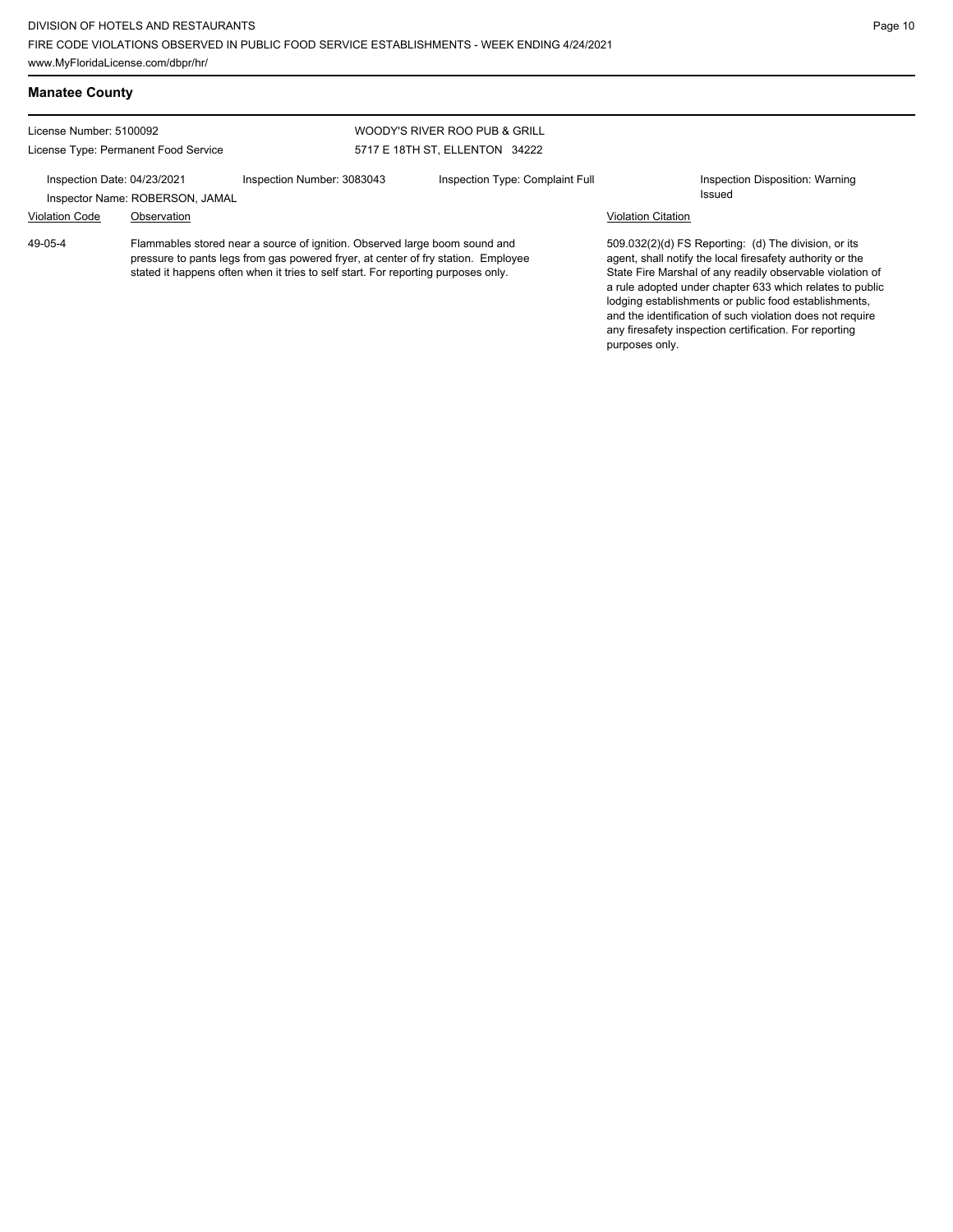Flammables stored near a source of ignition. Observed large boom sound and pressure to pants legs from gas powered fryer, at center of fry station. Employee stated it happens often when it tries to self start. For reporting purposes only.

49-05-4

License Number: 5100092 License Type: Permanent Food Service

## WOODY'S RIVER ROO PUB & GRILL 5717 E 18TH ST, ELLENTON 34222

Inspection Date: 04/23/2021 Inspection Number: 3083043 Inspection Type: Complaint Full Inspection Disposition: Warning

Issued Inspector Name: ROBERSON, JAMAL

## Violation Code Observation Violation Citation

509.032(2)(d) FS Reporting: (d) The division, or its agent, shall notify the local firesafety authority or the State Fire Marshal of any readily observable violation of a rule adopted under chapter 633 which relates to public lodging establishments or public food establishments, and the identification of such violation does not require any firesafety inspection certification. For reporting purposes only.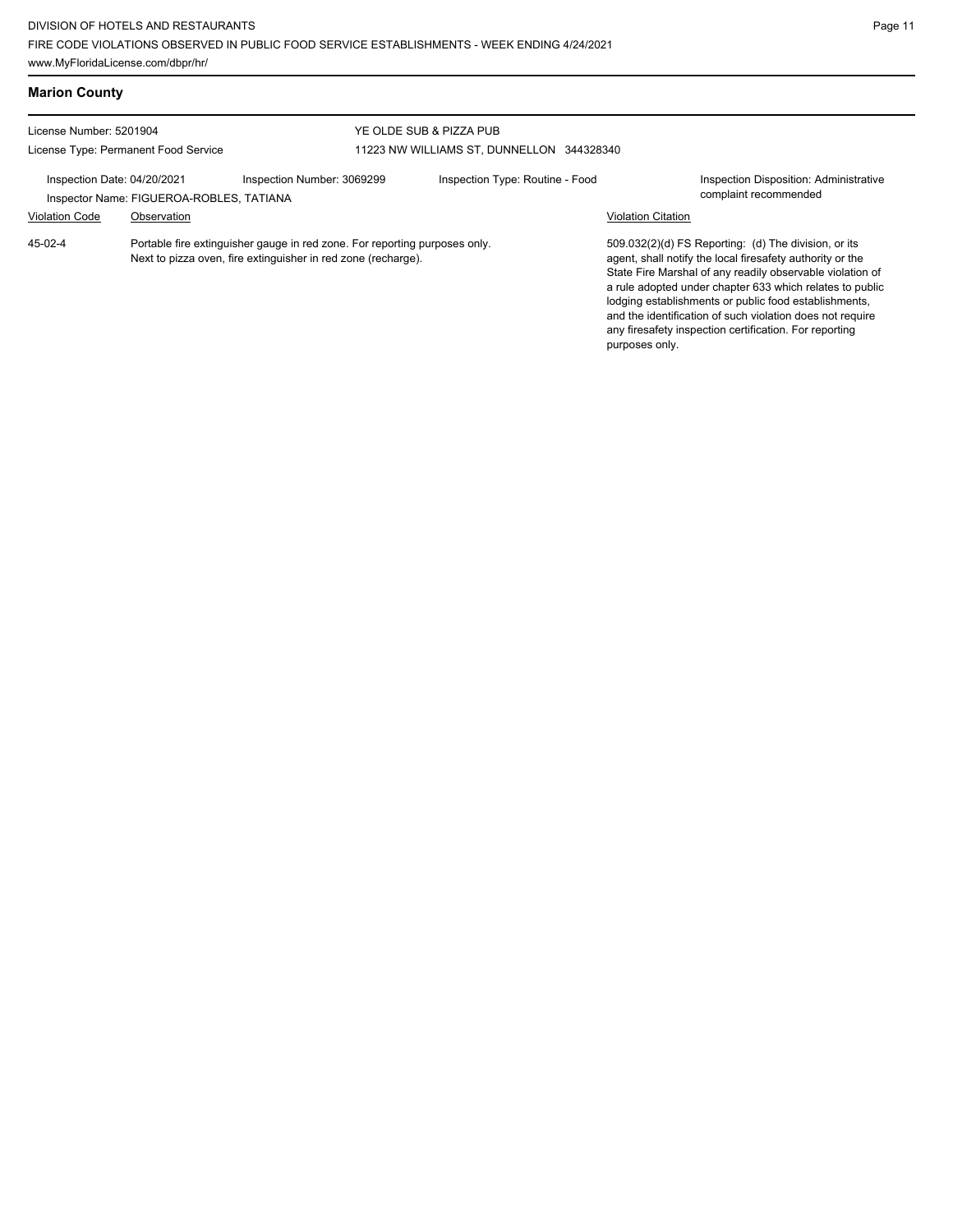| <b>Marion County</b>                                            |                                          |                                                                                                                                             |                                                                      |                                             |                                                                                                                                                                                                                                                                                                                                                                                                                            |
|-----------------------------------------------------------------|------------------------------------------|---------------------------------------------------------------------------------------------------------------------------------------------|----------------------------------------------------------------------|---------------------------------------------|----------------------------------------------------------------------------------------------------------------------------------------------------------------------------------------------------------------------------------------------------------------------------------------------------------------------------------------------------------------------------------------------------------------------------|
| License Number: 5201904<br>License Type: Permanent Food Service |                                          |                                                                                                                                             | YE OLDE SUB & PIZZA PUB<br>11223 NW WILLIAMS ST, DUNNELLON 344328340 |                                             |                                                                                                                                                                                                                                                                                                                                                                                                                            |
| Inspection Date: 04/20/2021                                     | Inspector Name: FIGUEROA-ROBLES, TATIANA | Inspection Number: 3069299                                                                                                                  | Inspection Type: Routine - Food                                      |                                             | Inspection Disposition: Administrative<br>complaint recommended                                                                                                                                                                                                                                                                                                                                                            |
| <b>Violation Code</b><br>45-02-4                                | Observation                              | Portable fire extinguisher gauge in red zone. For reporting purposes only.<br>Next to pizza oven, fire extinguisher in red zone (recharge). |                                                                      | <b>Violation Citation</b><br>purposes only. | 509.032(2)(d) FS Reporting: (d) The division, or its<br>agent, shall notify the local firesafety authority or the<br>State Fire Marshal of any readily observable violation of<br>a rule adopted under chapter 633 which relates to public<br>lodging establishments or public food establishments,<br>and the identification of such violation does not require<br>any firesafety inspection certification. For reporting |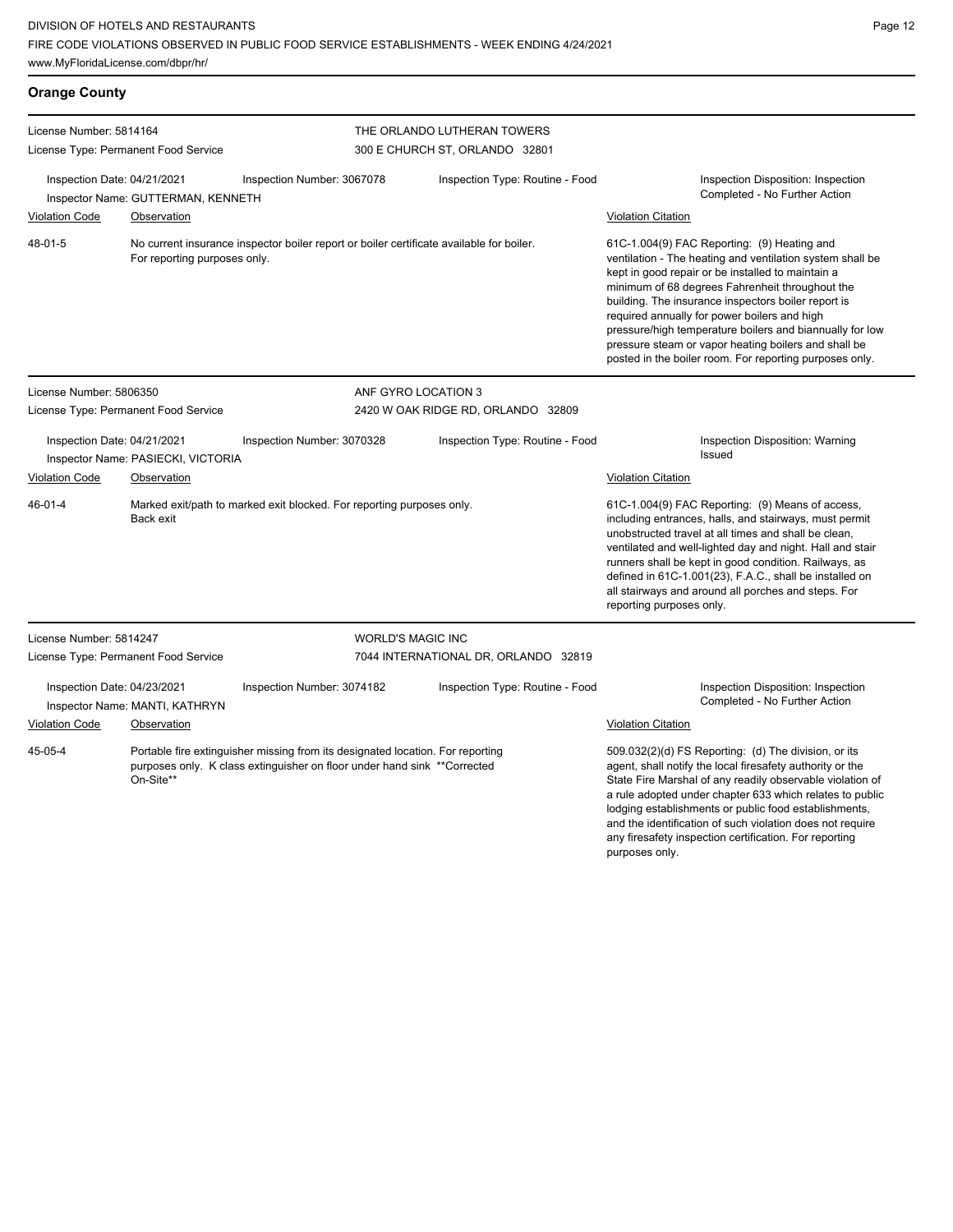| <b>Orange County</b>                                              |                                                                                                                          |                                                                                                                                                            |                                                               |                                 |                                                                                                                                                                                                                                                                                                                                                                                                                                                                                                        |
|-------------------------------------------------------------------|--------------------------------------------------------------------------------------------------------------------------|------------------------------------------------------------------------------------------------------------------------------------------------------------|---------------------------------------------------------------|---------------------------------|--------------------------------------------------------------------------------------------------------------------------------------------------------------------------------------------------------------------------------------------------------------------------------------------------------------------------------------------------------------------------------------------------------------------------------------------------------------------------------------------------------|
| License Number: 5814164                                           | License Type: Permanent Food Service                                                                                     |                                                                                                                                                            | THE ORLANDO LUTHERAN TOWERS<br>300 E CHURCH ST, ORLANDO 32801 |                                 |                                                                                                                                                                                                                                                                                                                                                                                                                                                                                                        |
| Inspection Date: 04/21/2021<br>Inspector Name: GUTTERMAN, KENNETH |                                                                                                                          | Inspection Number: 3067078                                                                                                                                 | Inspection Type: Routine - Food                               |                                 | Inspection Disposition: Inspection<br>Completed - No Further Action                                                                                                                                                                                                                                                                                                                                                                                                                                    |
| <b>Violation Code</b>                                             | Observation                                                                                                              |                                                                                                                                                            |                                                               |                                 | <b>Violation Citation</b>                                                                                                                                                                                                                                                                                                                                                                                                                                                                              |
| 48-01-5                                                           | No current insurance inspector boiler report or boiler certificate available for boiler.<br>For reporting purposes only. |                                                                                                                                                            |                                                               |                                 | 61C-1.004(9) FAC Reporting: (9) Heating and<br>ventilation - The heating and ventilation system shall be<br>kept in good repair or be installed to maintain a<br>minimum of 68 degrees Fahrenheit throughout the<br>building. The insurance inspectors boiler report is<br>required annually for power boilers and high<br>pressure/high temperature boilers and biannually for low<br>pressure steam or vapor heating boilers and shall be<br>posted in the boiler room. For reporting purposes only. |
| License Number: 5806350                                           |                                                                                                                          |                                                                                                                                                            | ANF GYRO LOCATION 3                                           |                                 |                                                                                                                                                                                                                                                                                                                                                                                                                                                                                                        |
| License Type: Permanent Food Service                              |                                                                                                                          |                                                                                                                                                            | 2420 W OAK RIDGE RD, ORLANDO 32809                            |                                 |                                                                                                                                                                                                                                                                                                                                                                                                                                                                                                        |
| Inspection Date: 04/21/2021<br>Inspector Name: PASIECKI, VICTORIA |                                                                                                                          | Inspection Number: 3070328                                                                                                                                 |                                                               | Inspection Type: Routine - Food | Inspection Disposition: Warning<br>Issued                                                                                                                                                                                                                                                                                                                                                                                                                                                              |
| <b>Violation Code</b><br>Observation                              |                                                                                                                          |                                                                                                                                                            |                                                               | Violation Citation              |                                                                                                                                                                                                                                                                                                                                                                                                                                                                                                        |
| 46-01-4                                                           | Back exit                                                                                                                | Marked exit/path to marked exit blocked. For reporting purposes only.                                                                                      |                                                               |                                 | 61C-1.004(9) FAC Reporting: (9) Means of access,<br>including entrances, halls, and stairways, must permit<br>unobstructed travel at all times and shall be clean,<br>ventilated and well-lighted day and night. Hall and stair<br>runners shall be kept in good condition. Railways, as<br>defined in 61C-1.001(23), F.A.C., shall be installed on<br>all stairways and around all porches and steps. For<br>reporting purposes only.                                                                 |
| License Number: 5814247                                           |                                                                                                                          |                                                                                                                                                            | <b>WORLD'S MAGIC INC</b>                                      |                                 |                                                                                                                                                                                                                                                                                                                                                                                                                                                                                                        |
|                                                                   | License Type: Permanent Food Service                                                                                     | 7044 INTERNATIONAL DR, ORLANDO 32819                                                                                                                       |                                                               |                                 |                                                                                                                                                                                                                                                                                                                                                                                                                                                                                                        |
| Inspection Date: 04/23/2021<br>Inspector Name: MANTI, KATHRYN     |                                                                                                                          | Inspection Number: 3074182                                                                                                                                 |                                                               | Inspection Type: Routine - Food | Inspection Disposition: Inspection<br>Completed - No Further Action                                                                                                                                                                                                                                                                                                                                                                                                                                    |
| <b>Violation Code</b>                                             | Observation                                                                                                              |                                                                                                                                                            |                                                               |                                 | <b>Violation Citation</b>                                                                                                                                                                                                                                                                                                                                                                                                                                                                              |
| 45-05-4<br>On-Site**                                              |                                                                                                                          | Portable fire extinguisher missing from its designated location. For reporting<br>purposes only. K class extinguisher on floor under hand sink **Corrected |                                                               |                                 | 509.032(2)(d) FS Reporting: (d) The division, or its<br>agent, shall notify the local firesafety authority or the<br>State Fire Marshal of any readily observable violation of<br>a rule adopted under chapter 633 which relates to public<br>lodging establishments or public food establishments,<br>and the identification of such violation does not require<br>any firesafety inspection certification. For reporting<br>purposes only.                                                           |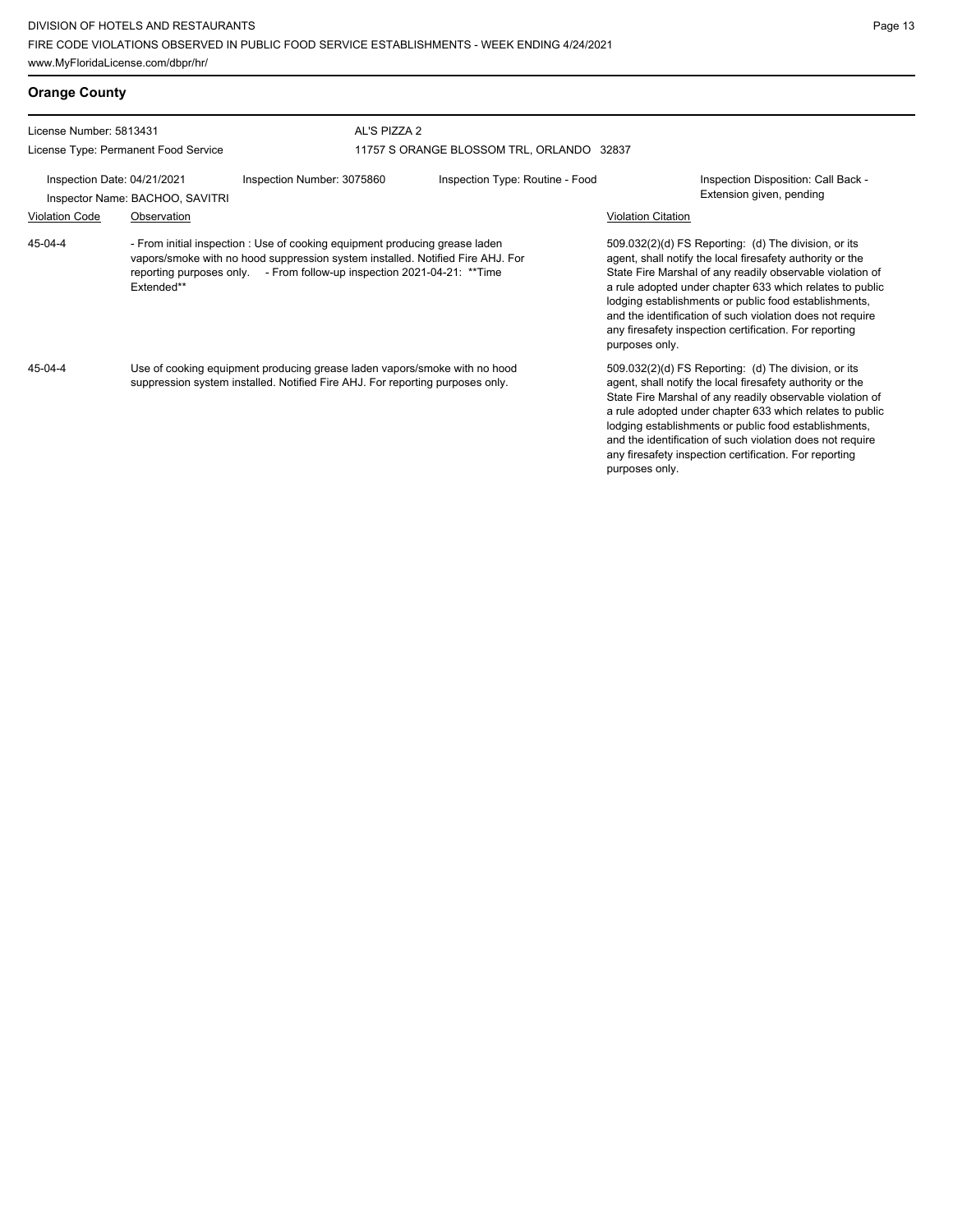| <b>Orange County</b>                                                                                                                                                  |                                                                                                                                                                                                                                                         |                            |                                                                                                                                                                                                                                                                                                                                                                                                                                              |                                                                                                                                                                                                                                                                                                                                                                                                                                              |
|-----------------------------------------------------------------------------------------------------------------------------------------------------------------------|---------------------------------------------------------------------------------------------------------------------------------------------------------------------------------------------------------------------------------------------------------|----------------------------|----------------------------------------------------------------------------------------------------------------------------------------------------------------------------------------------------------------------------------------------------------------------------------------------------------------------------------------------------------------------------------------------------------------------------------------------|----------------------------------------------------------------------------------------------------------------------------------------------------------------------------------------------------------------------------------------------------------------------------------------------------------------------------------------------------------------------------------------------------------------------------------------------|
| License Number: 5813431                                                                                                                                               |                                                                                                                                                                                                                                                         | AL'S PIZZA 2               |                                                                                                                                                                                                                                                                                                                                                                                                                                              |                                                                                                                                                                                                                                                                                                                                                                                                                                              |
|                                                                                                                                                                       | License Type: Permanent Food Service                                                                                                                                                                                                                    |                            | 11757 S ORANGE BLOSSOM TRL, ORLANDO 32837                                                                                                                                                                                                                                                                                                                                                                                                    |                                                                                                                                                                                                                                                                                                                                                                                                                                              |
| Inspection Date: 04/21/2021<br>Inspector Name: BACHOO, SAVITRI                                                                                                        |                                                                                                                                                                                                                                                         | Inspection Number: 3075860 | Inspection Type: Routine - Food                                                                                                                                                                                                                                                                                                                                                                                                              | Inspection Disposition: Call Back -<br>Extension given, pending                                                                                                                                                                                                                                                                                                                                                                              |
| <b>Violation Code</b>                                                                                                                                                 | Observation                                                                                                                                                                                                                                             |                            |                                                                                                                                                                                                                                                                                                                                                                                                                                              | <b>Violation Citation</b>                                                                                                                                                                                                                                                                                                                                                                                                                    |
| 45-04-4                                                                                                                                                               | - From initial inspection : Use of cooking equipment producing grease laden<br>vapors/smoke with no hood suppression system installed. Notified Fire AHJ. For<br>reporting purposes only. - From follow-up inspection 2021-04-21: ** Time<br>Extended** |                            | 509.032(2)(d) FS Reporting: (d) The division, or its<br>agent, shall notify the local firesafety authority or the<br>State Fire Marshal of any readily observable violation of<br>a rule adopted under chapter 633 which relates to public<br>lodging establishments or public food establishments,<br>and the identification of such violation does not require<br>any firesafety inspection certification. For reporting<br>purposes only. |                                                                                                                                                                                                                                                                                                                                                                                                                                              |
| 45-04-4<br>Use of cooking equipment producing grease laden vapors/smoke with no hood<br>suppression system installed. Notified Fire AHJ. For reporting purposes only. |                                                                                                                                                                                                                                                         |                            |                                                                                                                                                                                                                                                                                                                                                                                                                                              | 509.032(2)(d) FS Reporting: (d) The division, or its<br>agent, shall notify the local firesafety authority or the<br>State Fire Marshal of any readily observable violation of<br>a rule adopted under chapter 633 which relates to public<br>lodging establishments or public food establishments,<br>and the identification of such violation does not require<br>any firesafety inspection certification. For reporting<br>purposes only. |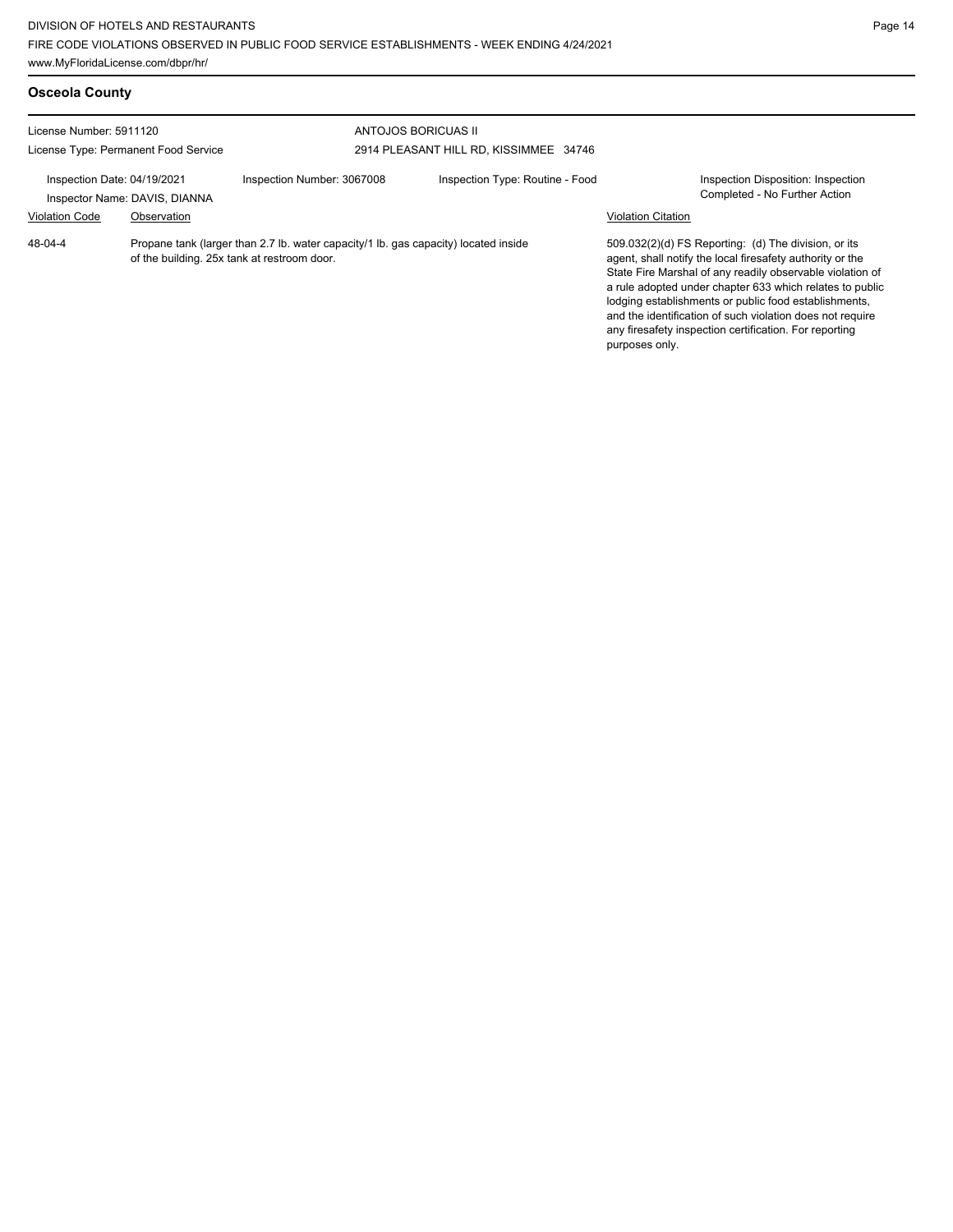| <b>Osceola County</b>                                                                                                                                                   |  |                                                                                                                                    |                                                               |                           |                                                                                                                                                                                                                                                                                                                                                                                                                            |
|-------------------------------------------------------------------------------------------------------------------------------------------------------------------------|--|------------------------------------------------------------------------------------------------------------------------------------|---------------------------------------------------------------|---------------------------|----------------------------------------------------------------------------------------------------------------------------------------------------------------------------------------------------------------------------------------------------------------------------------------------------------------------------------------------------------------------------------------------------------------------------|
| License Number: 5911120<br>License Type: Permanent Food Service<br>Inspection Date: 04/19/2021<br>Inspector Name: DAVIS, DIANNA<br><b>Violation Code</b><br>Observation |  |                                                                                                                                    | ANTOJOS BORICUAS II<br>2914 PLEASANT HILL RD, KISSIMMEE 34746 |                           |                                                                                                                                                                                                                                                                                                                                                                                                                            |
|                                                                                                                                                                         |  | Inspection Number: 3067008                                                                                                         | Inspection Type: Routine - Food                               | <b>Violation Citation</b> | Inspection Disposition: Inspection<br>Completed - No Further Action                                                                                                                                                                                                                                                                                                                                                        |
| 48-04-4                                                                                                                                                                 |  | Propane tank (larger than 2.7 lb. water capacity/1 lb. gas capacity) located inside<br>of the building. 25x tank at restroom door. |                                                               | purposes only.            | 509.032(2)(d) FS Reporting: (d) The division, or its<br>agent, shall notify the local firesafety authority or the<br>State Fire Marshal of any readily observable violation of<br>a rule adopted under chapter 633 which relates to public<br>lodging establishments or public food establishments,<br>and the identification of such violation does not require<br>any firesafety inspection certification. For reporting |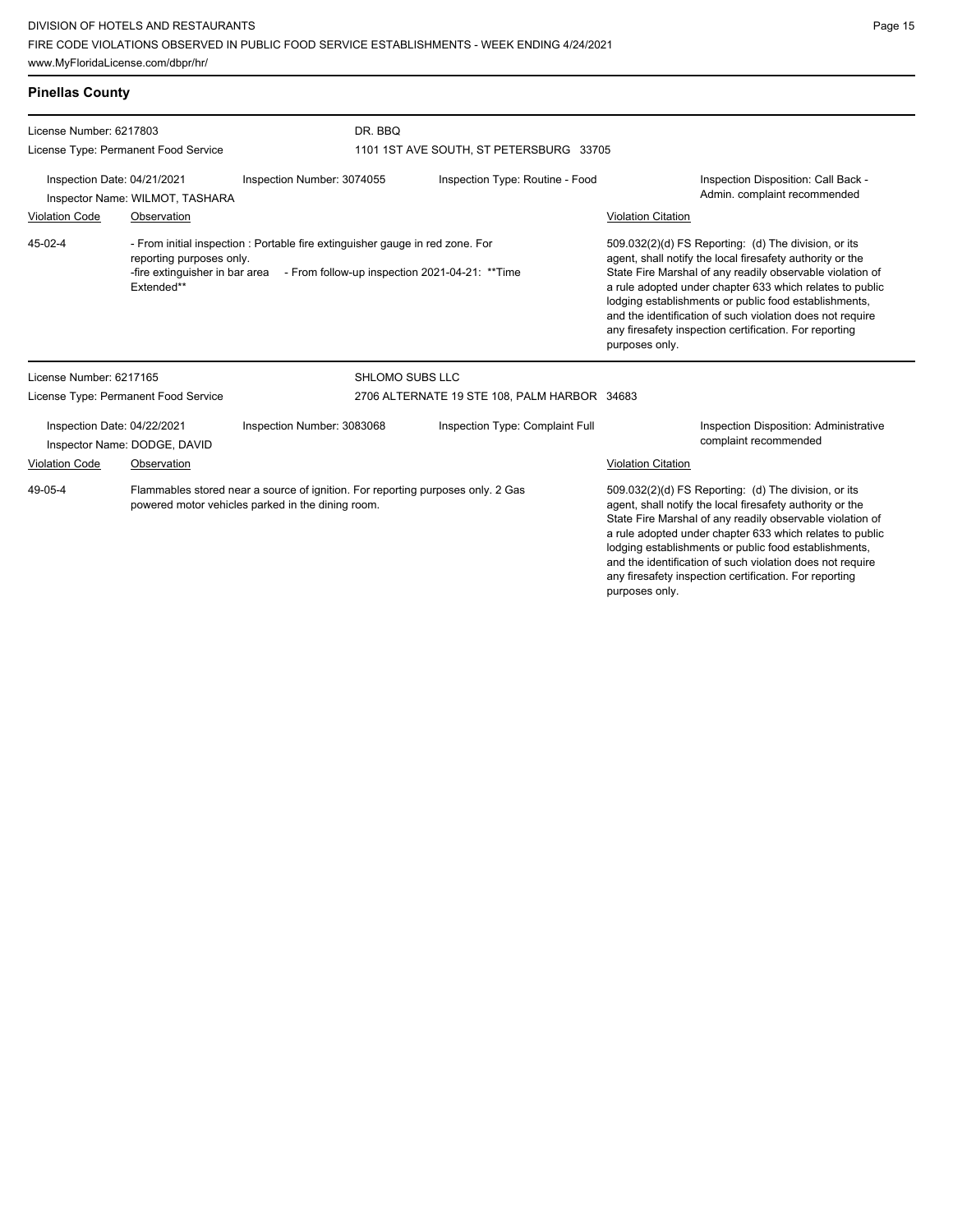and the identification of such violation does not require any firesafety inspection certification. For reporting

| <b>Pinellas County</b>                                                                                                                          |                                                                          |                                                                                                                                  |                                              |                                                                                                                                                                                                                                                                                                                                                                                                                                              |  |  |  |  |
|-------------------------------------------------------------------------------------------------------------------------------------------------|--------------------------------------------------------------------------|----------------------------------------------------------------------------------------------------------------------------------|----------------------------------------------|----------------------------------------------------------------------------------------------------------------------------------------------------------------------------------------------------------------------------------------------------------------------------------------------------------------------------------------------------------------------------------------------------------------------------------------------|--|--|--|--|
| License Number: 6217803<br>License Type: Permanent Food Service                                                                                 |                                                                          | DR. BBQ                                                                                                                          | 1101 1ST AVE SOUTH, ST PETERSBURG 33705      |                                                                                                                                                                                                                                                                                                                                                                                                                                              |  |  |  |  |
| Inspection Date: 04/21/2021<br>Inspector Name: WILMOT, TASHARA                                                                                  |                                                                          | Inspection Number: 3074055                                                                                                       | Inspection Type: Routine - Food              | Inspection Disposition: Call Back -<br>Admin. complaint recommended                                                                                                                                                                                                                                                                                                                                                                          |  |  |  |  |
| <b>Violation Code</b>                                                                                                                           | Observation                                                              |                                                                                                                                  |                                              | <b>Violation Citation</b>                                                                                                                                                                                                                                                                                                                                                                                                                    |  |  |  |  |
| 45-02-4                                                                                                                                         | reporting purposes only.<br>-fire extinguisher in bar area<br>Extended** | - From initial inspection : Portable fire extinguisher gauge in red zone. For<br>- From follow-up inspection 2021-04-21: ** Time |                                              | 509.032(2)(d) FS Reporting: (d) The division, or its<br>agent, shall notify the local firesafety authority or the<br>State Fire Marshal of any readily observable violation of<br>a rule adopted under chapter 633 which relates to public<br>lodging establishments or public food establishments,<br>and the identification of such violation does not require<br>any firesafety inspection certification. For reporting<br>purposes only. |  |  |  |  |
| License Number: 6217165                                                                                                                         |                                                                          | <b>SHLOMO SUBS LLC</b>                                                                                                           |                                              |                                                                                                                                                                                                                                                                                                                                                                                                                                              |  |  |  |  |
| License Type: Permanent Food Service                                                                                                            |                                                                          |                                                                                                                                  | 2706 ALTERNATE 19 STE 108, PALM HARBOR 34683 |                                                                                                                                                                                                                                                                                                                                                                                                                                              |  |  |  |  |
| Inspection Date: 04/22/2021                                                                                                                     | Inspector Name: DODGE, DAVID                                             | Inspection Number: 3083068                                                                                                       | Inspection Type: Complaint Full              | Inspection Disposition: Administrative<br>complaint recommended                                                                                                                                                                                                                                                                                                                                                                              |  |  |  |  |
| <b>Violation Code</b>                                                                                                                           | Observation                                                              |                                                                                                                                  |                                              | <b>Violation Citation</b>                                                                                                                                                                                                                                                                                                                                                                                                                    |  |  |  |  |
| Flammables stored near a source of ignition. For reporting purposes only. 2 Gas<br>49-05-4<br>powered motor vehicles parked in the dining room. |                                                                          |                                                                                                                                  |                                              | 509.032(2)(d) FS Reporting: (d) The division, or its<br>agent, shall notify the local firesafety authority or the<br>State Fire Marshal of any readily observable violation of<br>a rule adopted under chapter 633 which relates to public<br>lodging establishments or public food establishments,                                                                                                                                          |  |  |  |  |